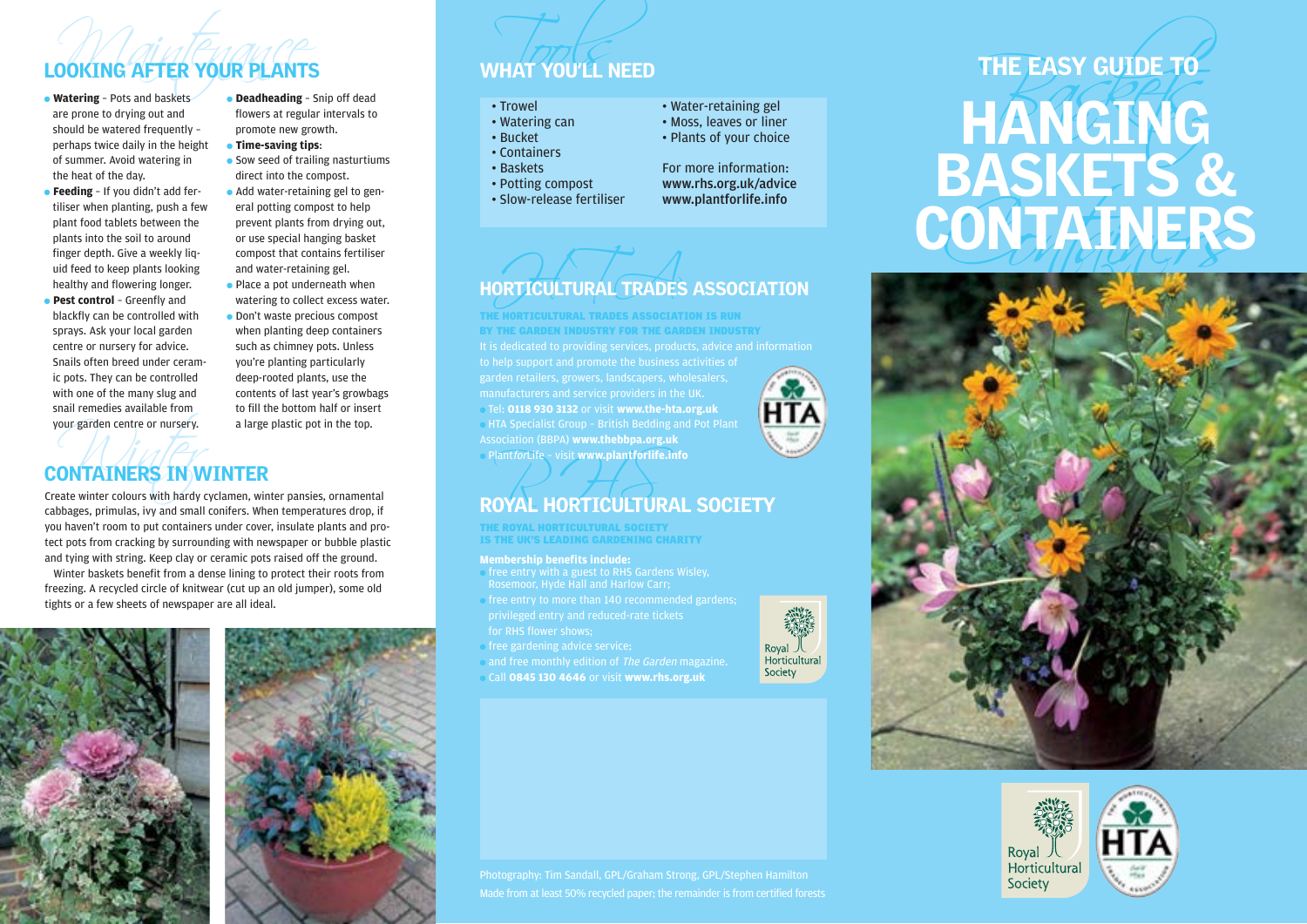## **LOOKING AFTER YOUR PLANTS**<br>
• Watering – Pots and baskets<br>
• Watering – Pots and baskets<br>
• Deadheading – Snip off dead LOOKING AFTER YOUR PLANTS WHAT YOU'LL NEED

- are prone to drying out and should be watered frequently – perhaps twice daily in the height of summer. Avoid watering in the heat of the day.
- **Feeding** If you didn't add fertiliser when planting, push a few plant food tablets between the plants into the soil to around finger depth. Give a weekly liquid feed to keep plants looking healthy and flowering longer.
- **Pest control** Greenfly and blackfly can be controlled with sprays. Ask your local garden centre or nursery for advice. Snails often breed under ceramic pots. They can be controlled with one of the many slug and snail remedies available from your garden centre or nursery.
- **Deadheading** Snip off dead flowers at regular intervals to promote new growth.
- **Time-saving tips**:
- Sow seed of trailing nasturtiums direct into the compost.
- Add water-retaining gel to general potting compost to help prevent plants from drying out, or use special hanging basket compost that contains fertiliser and water-retaining gel.
- Place a pot underneath when watering to collect excess water.
- Don't waste precious compost when planting deep containers such as chimney pots. Unless you're planting particularly deep-rooted plants, use the contents of last year's growbags to fill the bottom half or insert a large plastic pot in the top.

### our garden centre or nursery.<br> **ONTAINERS IN W**<br>
Rate winter colours with hardy c CONTAINERS IN WINTER

Create winter colours with hardy cyclamen, winter pansies, ornamental cabbages, primulas, ivy and small conifers. When temperatures drop, if you haven't room to put containers under cover, insulate plants and protect pots from cracking by surrounding with newspaper or bubble plastic and tying with string. Keep clay or ceramic pots raised off the ground.

Winter baskets benefit from a dense lining to protect their roots from freezing. A recycled circle of knitwear (cut up an old jumper), some old tights or a few sheets of newspaper are all ideal.



- Trowel
- Watering can
- Bucket • Containers
- 
- Baskets
- Potting compost • Slow-release fertiliser
- Water-retaining gel • Moss, leaves or liner
- Plants of your choice
- For more information: www.rhs.org.uk/advice www.plantforlife.info



● Tel: **0118 930 3132** or visit **www.the-hta.org.uk**  $\bullet$  HTA Specialist Group - British Bedding and Pot Plant Association (BBPA) **www.thebbpa.org.uk** ● PlantforLife – visit **www.plantforlife.info** THE HORTICULTURAL TRADES ASSOCIATION IS RUN BY THE GARDEN INDUSTRY FOR THE GARDEN INDUSTRY

# Plant*for*Life - visit www.plantforlife.info<br>ROYAL HORTICULTURAL SOCIETY

THE ROYAL HORTICULTURAL SOCIETY IS THE UK'S LEADING GARDENING CHARITY

#### **Membership benefits include:**

- free entry with a guest to RHS Gardens Wisley, Rosemoor, Hyde Hall and Harlow Carr;
- free entry to more than 140 recommended gardens; privileged entry and reduced-rate tickets for RHS flower shows;
- free gardening advice service:
- and free monthly edition of The Garden magazine.
- Call **0845 130 4646** or visit **www.rhs.org.uk**



### THE EASY GUIDE TO CONTAINERS HANGING BASKETS & CONTAINERS THE EASY GUIDE TO





Photography: Tim Sandall, GPL/Graham Strong, GPL/Stephen Hamilton Made from at least 50% recycled paper; the remainder is from certified forests

Horticultural